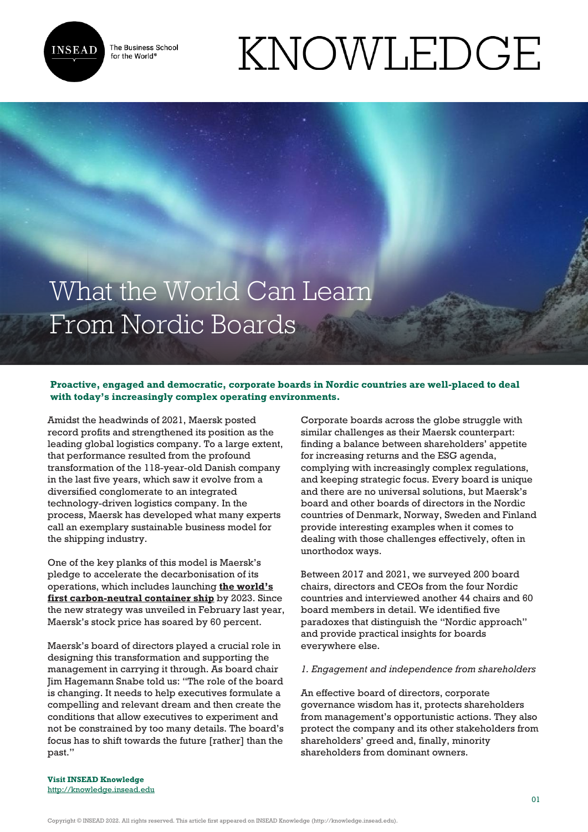

The Business School for the World<sup>®</sup>

# KNOWLEDGE

# What the World Can Learn From Nordic Boards

# **Proactive, engaged and democratic, corporate boards in Nordic countries are well-placed to deal with today's increasingly complex operating environments.**

Amidst the headwinds of 2021, Maersk posted record profits and strengthened its position as the leading global logistics company. To a large extent, that performance resulted from the profound transformation of the 118-year-old Danish company in the last five years, which saw it evolve from a diversified conglomerate to an integrated technology-driven logistics company. In the process, Maersk has developed what many experts call an exemplary sustainable business model for the shipping industry.

One of the key planks of this model is Maersk's pledge to accelerate the decarbonisation of its operations, which includes launching **[the world's](https://www.reuters.com/article/us-climate-change-shipping-idUSKBN2AH0ZA) [first carbon-neutral container ship](https://www.reuters.com/article/us-climate-change-shipping-idUSKBN2AH0ZA)** by 2023. Since the new strategy was unveiled in February last year, Maersk's stock price has soared by 60 percent.

Maersk's board of directors played a crucial role in designing this transformation and supporting the management in carrying it through. As board chair Jim Hagemann Snabe told us: "The role of the board is changing. It needs to help executives formulate a compelling and relevant dream and then create the conditions that allow executives to experiment and not be constrained by too many details. The board's focus has to shift towards the future [rather] than the past."

Corporate boards across the globe struggle with similar challenges as their Maersk counterpart: finding a balance between shareholders' appetite for increasing returns and the ESG agenda, complying with increasingly complex regulations, and keeping strategic focus. Every board is unique and there are no universal solutions, but Maersk's board and other boards of directors in the Nordic countries of Denmark, Norway, Sweden and Finland provide interesting examples when it comes to dealing with those challenges effectively, often in unorthodox ways.

Between 2017 and 2021, we surveyed 200 board chairs, directors and CEOs from the four Nordic countries and interviewed another 44 chairs and 60 board members in detail. We identified five paradoxes that distinguish the "Nordic approach" and provide practical insights for boards everywhere else.

### *1. Engagement and independence from shareholders*

An effective board of directors, corporate governance wisdom has it, protects shareholders from management's opportunistic actions. They also protect the company and its other stakeholders from shareholders' greed and, finally, minority shareholders from dominant owners.

**Visit INSEAD Knowledge** <http://knowledge.insead.edu>

Copyright © INSEAD 2022. All rights reserved. This article first appeared on INSEAD Knowledge (http://knowledge.insead.edu).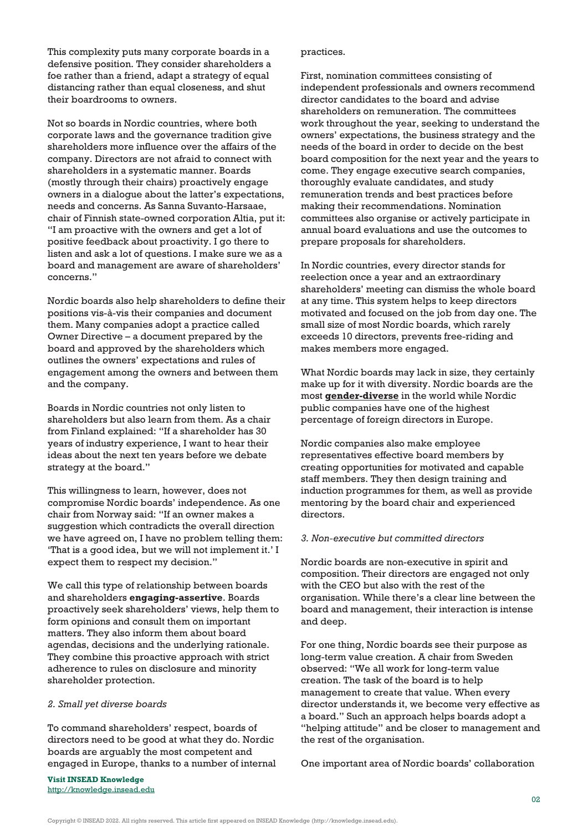This complexity puts many corporate boards in a defensive position. They consider shareholders a foe rather than a friend, adapt a strategy of equal distancing rather than equal closeness, and shut their boardrooms to owners.

Not so boards in Nordic countries, where both corporate laws and the governance tradition give shareholders more influence over the affairs of the company. Directors are not afraid to connect with shareholders in a systematic manner. Boards (mostly through their chairs) proactively engage owners in a dialogue about the latter's expectations, needs and concerns. As Sanna Suvanto-Harsaae, chair of Finnish state-owned corporation Altia, put it: "I am proactive with the owners and get a lot of positive feedback about proactivity. I go there to listen and ask a lot of questions. I make sure we as a board and management are aware of shareholders' concerns."

Nordic boards also help shareholders to define their positions vis-à-vis their companies and document them. Many companies adopt a practice called Owner Directive – a document prepared by the board and approved by the shareholders which outlines the owners' expectations and rules of engagement among the owners and between them and the company.

Boards in Nordic countries not only listen to shareholders but also learn from them. As a chair from Finland explained: "If a shareholder has 30 years of industry experience, I want to hear their ideas about the next ten years before we debate strategy at the board."

This willingness to learn, however, does not compromise Nordic boards' independence. As one chair from Norway said: "If an owner makes a suggestion which contradicts the overall direction we have agreed on, I have no problem telling them: 'That is a good idea, but we will not implement it.' I expect them to respect my decision."

We call this type of relationship between boards and shareholders **engaging-assertive**. Boards proactively seek shareholders' views, help them to form opinions and consult them on important matters. They also inform them about board agendas, decisions and the underlying rationale. They combine this proactive approach with strict adherence to rules on disclosure and minority shareholder protection.

#### *2. Small yet diverse boards*

To command shareholders' respect, boards of directors need to be good at what they do. Nordic boards are arguably the most competent and engaged in Europe, thanks to a number of internal

**Visit INSEAD Knowledge** <http://knowledge.insead.edu>

#### practices.

First, nomination committees consisting of independent professionals and owners recommend director candidates to the board and advise shareholders on remuneration. The committees work throughout the year, seeking to understand the owners' expectations, the business strategy and the needs of the board in order to decide on the best board composition for the next year and the years to come. They engage executive search companies, thoroughly evaluate candidates, and study remuneration trends and best practices before making their recommendations. Nomination committees also organise or actively participate in annual board evaluations and use the outcomes to prepare proposals for shareholders.

In Nordic countries, every director stands for reelection once a year and an extraordinary shareholders' meeting can dismiss the whole board at any time. This system helps to keep directors motivated and focused on the job from day one. The small size of most Nordic boards, which rarely exceeds 10 directors, prevents free-riding and makes members more engaged.

What Nordic boards may lack in size, they certainly make up for it with diversity. Nordic boards are the most **[gender-diverse](https://knowledge.insead.edu/leadership-organisations/putting-more-women-at-the-helm-of-corporate-boards-13476)** in the world while Nordic public companies have one of the highest percentage of foreign directors in Europe.

Nordic companies also make employee representatives effective board members by creating opportunities for motivated and capable staff members. They then design training and induction programmes for them, as well as provide mentoring by the board chair and experienced directors.

# *3. Non-executive but committed directors*

Nordic boards are non-executive in spirit and composition. Their directors are engaged not only with the CEO but also with the rest of the organisation. While there's a clear line between the board and management, their interaction is intense and deep.

For one thing, Nordic boards see their purpose as long-term value creation. A chair from Sweden observed: "We all work for long-term value creation. The task of the board is to help management to create that value. When every director understands it, we become very effective as a board." Such an approach helps boards adopt a "helping attitude" and be closer to management and the rest of the organisation.

One important area of Nordic boards' collaboration

Copyright © INSEAD 2022. All rights reserved. This article first appeared on INSEAD Knowledge (http://knowledge.insead.edu).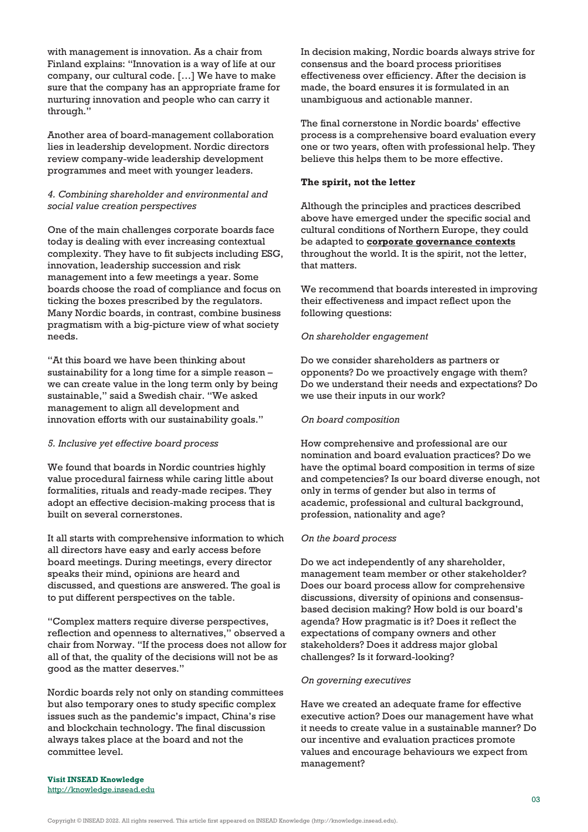with management is innovation. As a chair from Finland explains: "Innovation is a way of life at our company, our cultural code. […] We have to make sure that the company has an appropriate frame for nurturing innovation and people who can carry it through."

Another area of board-management collaboration lies in leadership development. Nordic directors review company-wide leadership development programmes and meet with younger leaders.

# *4. Combining shareholder and environmental and social value creation perspectives*

One of the main challenges corporate boards face today is dealing with ever increasing contextual complexity. They have to fit subjects including ESG, innovation, leadership succession and risk management into a few meetings a year. Some boards choose the road of compliance and focus on ticking the boxes prescribed by the regulators. Many Nordic boards, in contrast, combine business pragmatism with a big-picture view of what society needs.

"At this board we have been thinking about sustainability for a long time for a simple reason – we can create value in the long term only by being sustainable," said a Swedish chair. "We asked management to align all development and innovation efforts with our sustainability goals."

#### *5. Inclusive yet effective board process*

We found that boards in Nordic countries highly value procedural fairness while caring little about formalities, rituals and ready-made recipes. They adopt an effective decision-making process that is built on several cornerstones.

It all starts with comprehensive information to which all directors have easy and early access before board meetings. During meetings, every director speaks their mind, opinions are heard and discussed, and questions are answered. The goal is to put different perspectives on the table.

"Complex matters require diverse perspectives, reflection and openness to alternatives," observed a chair from Norway. "If the process does not allow for all of that, the quality of the decisions will not be as good as the matter deserves."

Nordic boards rely not only on standing committees but also temporary ones to study specific complex issues such as the pandemic's impact, China's rise and blockchain technology. The final discussion always takes place at the board and not the committee level.

In decision making, Nordic boards always strive for consensus and the board process prioritises effectiveness over efficiency. After the decision is made, the board ensures it is formulated in an unambiguous and actionable manner.

The final cornerstone in Nordic boards' effective process is a comprehensive board evaluation every one or two years, often with professional help. They believe this helps them to be more effective.

#### **The spirit, not the letter**

Although the principles and practices described above have emerged under the specific social and cultural conditions of Northern Europe, they could be adapted to **[corporate governance contexts](https://knowledge.insead.edu/leadership-organisations/a-checklist-for-boards-in-the-new-normal-15256)** throughout the world. It is the spirit, not the letter, that matters.

We recommend that boards interested in improving their effectiveness and impact reflect upon the following questions:

# *On shareholder engagement*

Do we consider shareholders as partners or opponents? Do we proactively engage with them? Do we understand their needs and expectations? Do we use their inputs in our work?

# *On board composition*

How comprehensive and professional are our nomination and board evaluation practices? Do we have the optimal board composition in terms of size and competencies? Is our board diverse enough, not only in terms of gender but also in terms of academic, professional and cultural background, profession, nationality and age?

#### *On the board process*

Do we act independently of any shareholder, management team member or other stakeholder? Does our board process allow for comprehensive discussions, diversity of opinions and consensusbased decision making? How bold is our board's agenda? How pragmatic is it? Does it reflect the expectations of company owners and other stakeholders? Does it address major global challenges? Is it forward-looking?

#### *On governing executives*

Have we created an adequate frame for effective executive action? Does our management have what it needs to create value in a sustainable manner? Do our incentive and evaluation practices promote values and encourage behaviours we expect from management?

**Visit INSEAD Knowledge** <http://knowledge.insead.edu>

Copyright © INSEAD 2022. All rights reserved. This article first appeared on INSEAD Knowledge (http://knowledge.insead.edu).